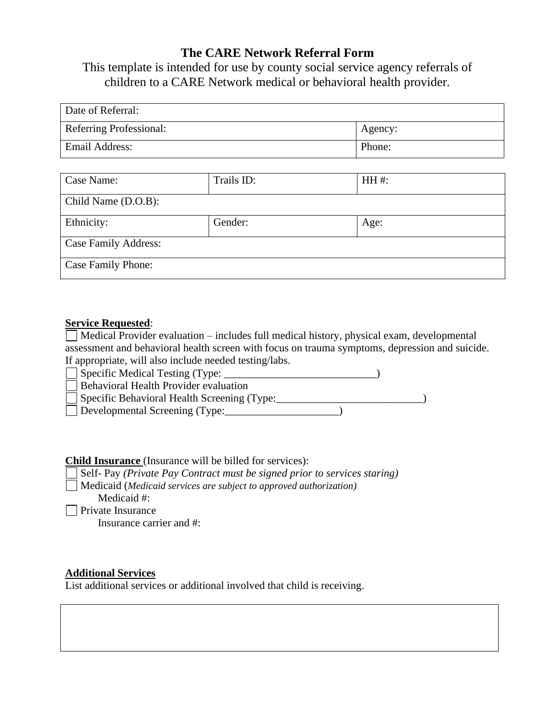# **The CARE Network Referral Form**

This template is intended for use by county social service agency referrals of children to a CARE Network medical or behavioral health provider.

| Date of Referral:       |         |
|-------------------------|---------|
| Referring Professional: | Agency: |
| <b>Email Address:</b>   | Phone:  |

| Case Name:                  | Trails ID: | HH #: |  |  |  |
|-----------------------------|------------|-------|--|--|--|
| Child Name (D.O.B):         |            |       |  |  |  |
| Ethnicity:                  | Gender:    | Age:  |  |  |  |
| <b>Case Family Address:</b> |            |       |  |  |  |
| Case Family Phone:          |            |       |  |  |  |

### **Service Requested**:

Medical Provider evaluation – includes full medical history, physical exam, developmental assessment and behavioral health screen with focus on trauma symptoms, depression and suicide. If appropriate, will also include needed testing/labs.

| Specific Medical Testing (Type: _           |  |
|---------------------------------------------|--|
| Behavioral Health Provider evaluation       |  |
| Specific Behavioral Health Screening (Type: |  |
| Developmental Screening (Type:              |  |
|                                             |  |

### **Child Insurance** (Insurance will be billed for services):

Self- Pay *(Private Pay Contract must be signed prior to services staring)*

Medicaid (*Medicaid services are subject to approved authorization)*

Medicaid #:

**Private Insurance** 

Insurance carrier and #:

### **Additional Services**

List additional services or additional involved that child is receiving.